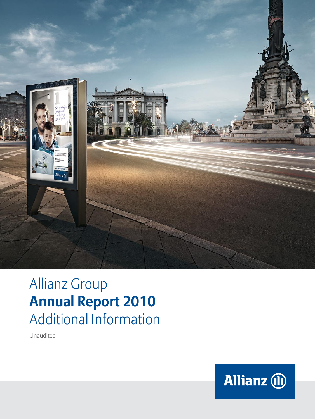

# Allianz Group **Annual Report 2010** Additional Information

Unaudited

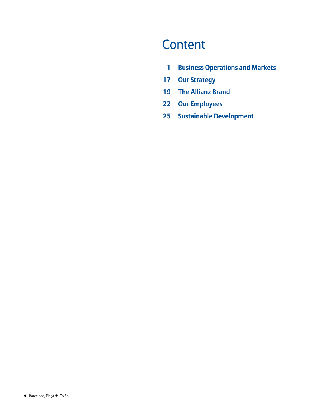## **Content**

- **1 [Business Operations and Markets](#page-2-0)**
- **17 [Our Strategy](#page-18-0)**
- **19 [The Allianz Brand](#page-20-0)**
- **22 [Our Employees](#page-23-0)**
- **[25 Sustainable Development](#page-26-0)**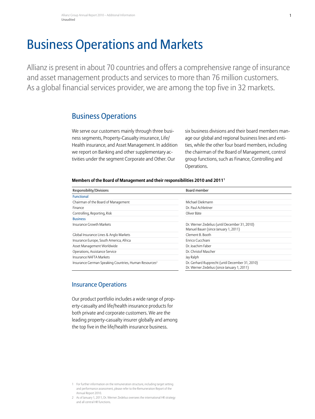## <span id="page-2-0"></span>Business Operations and Markets

Allianz is present in about 70 countries and offers a comprehensive range of insurance and asset management products and services to more than 76 million customers. As a global financial services provider, we are among the top five in 32 markets.

## Business Operations

We serve our customers mainly through three business segments, Property-Casualty insurance, Life/ Health insurance, and Asset Management. In addition we report on Banking and other supplementary activities under the segment Corporate and Other. Our

six business divisions and their board members manage our global and regional business lines and entities, while the other four board members, including the chairman of the Board of Management, control group functions, such as Finance, Controlling and Operations.

#### **Members of the Board of Management and their responsibilities 2010 and 20111**

| Responsibility/Divisions                                          | Board member                                                                                   |  |  |  |  |
|-------------------------------------------------------------------|------------------------------------------------------------------------------------------------|--|--|--|--|
| <b>Functional</b>                                                 |                                                                                                |  |  |  |  |
| Chairman of the Board of Management                               | Michael Diekmann                                                                               |  |  |  |  |
| Finance                                                           | Dr. Paul Achleitner                                                                            |  |  |  |  |
| Controlling, Reporting, Risk                                      | Oliver Bäte                                                                                    |  |  |  |  |
| <b>Business</b>                                                   |                                                                                                |  |  |  |  |
| Insurance Growth Markets                                          | Dr. Werner Zedelius (until December 31, 2010)<br>Manuel Bauer (since January 1, 2011)          |  |  |  |  |
| Global Insurance Lines & Anglo Markets                            | Clement B. Booth                                                                               |  |  |  |  |
| Insurance Europe, South America, Africa                           | Enrico Cucchiani                                                                               |  |  |  |  |
| Asset Management Worldwide                                        | Dr. Joachim Faber                                                                              |  |  |  |  |
| Operations, Assistance Service                                    | Dr. Christof Mascher                                                                           |  |  |  |  |
| Insurance NAFTA Markets                                           | Jay Ralph                                                                                      |  |  |  |  |
| Insurance German Speaking Countries, Human Resources <sup>2</sup> | Dr. Gerhard Rupprecht (until December 31, 2010)<br>Dr. Werner Zedelius (since January 1, 2011) |  |  |  |  |

## Insurance Operations

Our product portfolio includes a wide range of property-casualty and life/health insurance products for both private and corporate customers. We are the leading property-casualty insurer globally and among the top five in the life/health insurance business.

<sup>1</sup> For further information on the remuneration structure, including target setting and performance assessment, please refer to the Remuneration Report of the Annual Report 2010.

<sup>2</sup> As of January 1, 2011, Dr. Werner Zedelius oversees the international HR strategy and all central HR functions.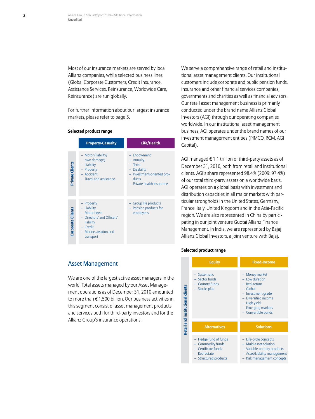Most of our insurance markets are served by local Allianz companies, while selected business lines (Global Corporate Customers, Credit Insurance, Assistance Services, Reinsurance, Worldwide Care, Reinsurance) are run globally.

For further information about our largest insurance markets, please [refer to page 5.](#page-6-0)

#### **Selected product range**

|                   | <b>Property-Casualty</b>                                                                                                                | <b>Life/Health</b>                                                                                                              |
|-------------------|-----------------------------------------------------------------------------------------------------------------------------------------|---------------------------------------------------------------------------------------------------------------------------------|
| Private Clients   | - Motor (liability/<br>own damage)<br>Liability<br>$\qquad \qquad -$<br>- Property<br>- Accident<br>- Travel and assistance             | - Endowment<br>Annuity<br>$-$ Term<br><b>Disability</b><br>Investment-oriented pro-<br>÷<br>ducts<br>- Private health insurance |
| Corporate Clients | Property<br>- Liability<br>- Motor fleets<br>- Directors' and Officers'<br>liability<br>- Credit<br>- Marine, aviation and<br>transport | Group life products<br>Pension products for<br>employees                                                                        |

We serve a comprehensive range of retail and institutional asset management clients. Our institutional customers include corporate and public pension funds, insurance and other financial services companies, governments and charities as well as financial advisors. Our retail asset management business is primarily conducted under the brand name Allianz Global Investors (AGI) through our operating companies worldwide. In our institutional asset management business, AGI operates under the brand names of our investment management entities (PIMCO, RCM, AGI Capital).

AGI managed  $\epsilon$  1.1 trillion of third-party assets as of December 31, 2010, both from retail and institutional clients. AGI's share represented 98.4% (2009: 97.4%) of our total third-party assets on a worldwide basis. AGI operates on a global basis with investment and distribution capacities in all major markets with particular strongholds in the United States, Germany, France, Italy, United Kingdom and in the Asia-Pacific region. We are also represented in China by participating in our joint venture Guotai Allianz Finance Management. In India, we are represented by Bajaj Allianz Global Investors, a joint venture with Bajaj.

#### S**elected product range**

|                                         | <b>Equity</b>                                                                                                | <b>Fixed-Income</b>                                                                                                                                                        |
|-----------------------------------------|--------------------------------------------------------------------------------------------------------------|----------------------------------------------------------------------------------------------------------------------------------------------------------------------------|
| <b>Retail and institutional clients</b> | - Systematic<br>- Sector funds<br>Country funds<br><b>Stocks plus</b>                                        | - Money market<br>$-$ Low duration<br>- Real return<br>$-$ Global<br>- Investment grade<br>Diversified income<br>- High yield<br>- Emerging markets<br>- Convertible bonds |
|                                         | <b>Alternatives</b>                                                                                          | <b>Solutions</b>                                                                                                                                                           |
|                                         | Hedge fund of funds<br><b>Commodity funds</b><br>Certificate funds<br>$-$ Real estate<br>Structured products | - Life-cycle concepts<br>- Multi-asset solution<br>- Variable-annuity products<br>- Asset/Liability management<br>Risk management concepts                                 |

## Asset Management

We are one of the largest active asset managers in the world. Total assets managed by our Asset Management operations as of December 31, 2010 amounted to more than € 1,500 billion. Our business activities in this segment consist of asset management products and services both for third-party investors and for the Allianz Group's insurance operations.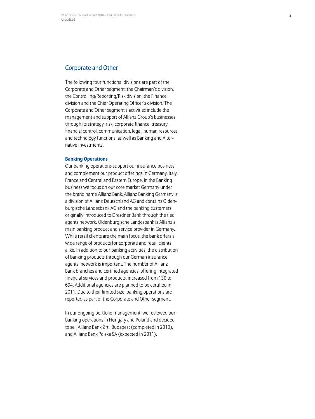#### Corporate and Other

The following four functional divisions are part of the Corporate and Other segment: the Chairman's division, the Controlling/Reporting/Risk division, the Finance division and the Chief Operating Officer's division. The Corporate and Other segment's activities include the management and support of Allianz Group's businesses through its strategy, risk, corporate finance, treasury, financial control, communication, legal, human resources and technology functions, as well as Banking and Alter native Investments.

#### **Banking Operations**

Our banking operations support our insurance business and complement our product offerings in Germany, Italy, France and Central and Eastern Europe. In the Banking business we focus on our core market Germany under the brand name Allianz Bank. Allianz Banking Germany is a division of Allianz Deutschland AG and contains Olden burgische Landesbank AG and the banking customers originally introduced to Dresdner Bank through the tied agents network. Oldenburgische Landesbank is Allianz's main banking product and service provider in Germany. While retail clients are the main focus, the bank offers a wide range of products for corporate and retail clients alike. In addition to our banking activities, the distribution of banking products through our German insurance agents' network is important. The number of Allianz Bank branches and certified agencies, offering integrated financial services and products, increased from 130 to 694. Additional agencies are planned to be certified in 2011. Due to their limited size, banking operations are reported as part of the Corporate and Other segment.

In our ongoing portfolio management, we reviewed our banking operations in Hungary and Poland and decided to sell Allianz Bank Zrt., Budapest (completed in 2010), and Allianz Bank Polska SA (expected in 2011).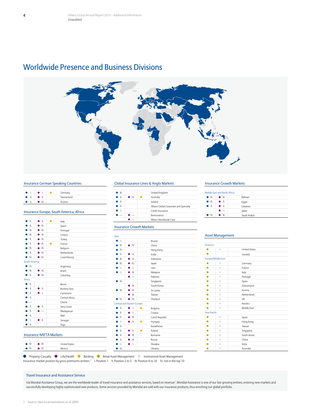## Worldwide Presence and Business Divisions



#### Insurance German Speaking Countries

|               | $\bullet$ $\bullet$ $\bullet$ $\bullet$ | $\blacksquare$ | Germany     |
|---------------|-----------------------------------------|----------------|-------------|
|               | $\bullet$ 1. $\bullet$ 1.               |                | Switzerland |
| $\bullet$ 11. | I O III.                                |                | Austria     |

#### Insurance Europe, South America, Africa

| Ш.                       | Ш.             |   | Italy          |
|--------------------------|----------------|---|----------------|
| Ш.                       | IV.            |   | Spain          |
| Ш.                       | $\bullet$ III. |   | Portugal       |
| Ш.                       | Ш.             |   | Greece         |
| Ш.                       | $\blacksquare$ |   | Turkey         |
| Ш.                       | $\Box$         | ٠ | France         |
| III.                     | $\Box$         |   | Belgium        |
| Ш.                       | $\mathbf{H}$ . |   | Netherlands    |
| IV.                      | IV.            |   | Luxembourg     |
| South America            |                |   |                |
| $\bullet$ IV.            |                |   | Argentina      |
| Ш.                       | Ш.             |   | Brazil         |
| Ш.                       | Ш.<br>▲        |   | Colombia       |
| Africa                   |                |   |                |
| Ш.                       |                |   | <b>Benin</b>   |
| Ш.                       | Ш.<br>●        |   | Burkina Faso   |
| Ш.                       | $\perp$<br>▲   |   | Cameroon       |
| Ш.                       |                |   | Central Africa |
| $\overline{\phantom{0}}$ |                |   | Ghana          |
| Ш.                       | Ш.             |   | Ivory Coast    |
| Ш.                       |                |   | Madagascar     |
| Ш.                       |                |   | Mali           |
| Ī.                       | II.            |   | Senegal        |
| Ш.                       |                |   | Togo           |
|                          |                |   |                |

#### Insurance NAFTA Markets

#### ■ IV. ● III. United States<br>● IV. ● IV. Mexico  $\bullet$  IV. Mexico

#### Global Insurance Lines & Anglo Markets

| III. |               | United Kingdom                         |  |
|------|---------------|----------------------------------------|--|
| Ш.   | $\bullet$ IV. | Australia                              |  |
| Ш.   |               | Ireland                                |  |
| Ш.   |               | Allianz Global Corporate and Specialty |  |
|      |               | Credit Insurance                       |  |
|      |               | Reinsurance                            |  |
|      |               | Allianz Worldwide Care                 |  |

#### Insurance Growth Markets

| Asia |                            |   |                          |           |                |
|------|----------------------------|---|--------------------------|-----------|----------------|
| ▲    | $\perp$                    |   |                          |           | Brunei         |
|      | $\bullet$ IV.              |   | $\bullet$ IV.            |           | China          |
|      | $\mathbb{N}$               |   |                          |           | Hong Kong      |
|      | Ш.                         |   | $\mathbb{L}$             |           | India          |
|      | Ш.                         |   | $\mathbf{II}$ .          |           | Indonesia      |
|      | IV.                        |   | IV.                      |           | Japan          |
|      | $\mathbf{L}$               |   | Ī.                       |           | Laos           |
|      | $\mathbf{L}$               |   | $\mathbf{H}$ .           |           | Malaysia       |
|      |                            |   | $\overline{\phantom{0}}$ |           | Pakistan       |
|      | IV.                        |   |                          |           | Singapore      |
|      |                            |   | Ш.                       |           | South Korea    |
|      | Ш.                         |   | Ш.                       |           | Sri Lanka      |
|      |                            |   | Ш.                       |           | Taiwan         |
|      | $\blacksquare$             |   | Ш.                       |           | Thailand       |
|      | Central and Eastern Europe |   |                          |           |                |
|      | Ш.                         |   | L                        | ٠         | Bulgaria       |
|      | II.                        | ۰ | L                        |           | Croatia        |
|      | Ш.                         |   | Ш.                       |           | Czech Republic |
|      | $\mathbf{L}$               |   | Ш.                       | $\bullet$ | Hungary        |
|      | II.                        |   |                          |           | Kazakhstan     |
|      | Ш.                         |   | Ш.                       | $\bullet$ | Poland         |
|      | II.                        |   | Ш.                       |           | Romania        |
|      | Ш.                         |   | Ш.                       |           | Russia         |
|      | L                          |   | Ι.                       |           | Slovakia       |
|      | IV.                        |   |                          |           | Ukraine        |
|      |                            |   |                          |           |                |

#### Insurance Growth Markets

|               | Middle Fast and North Africa |                |  |
|---------------|------------------------------|----------------|--|
| $\bullet$ IV. | <b>. .</b> .                 | <b>Bahrain</b> |  |
| III.          | $\bullet$ 1.                 | Eqypt          |  |
| $\bullet$ 11. | $\bullet$ 11.                | Lebanon        |  |
|               |                              | Oatar          |  |
| Ш.            | - 111.                       | Saudi Arabia   |  |

#### Asset Management

| America                              |                      |
|--------------------------------------|----------------------|
| $\bullet$                            | <b>United States</b> |
|                                      | Canada               |
| <b>Europe/Middle East</b>            |                      |
| $\bullet$                            | Germany              |
| $\bullet$<br>٠                       | France               |
| $\bullet$                            | Italy                |
| $\bullet$                            | Portugal             |
| ۰                                    | Spain                |
| $\bullet$                            | Switzerland          |
| $\bullet$                            | Austria              |
| $\frac{1}{100}$<br>$\bullet$         | <b>Netherlands</b>   |
| $\qquad \qquad \Box$                 | LIK                  |
| $\bullet$                            | <b>Nordics</b>       |
| $\bullet$                            | Middle Fast          |
| Asia-Pacific                         |                      |
| $\bullet$                            | Japan                |
| $\bullet$<br>$\bullet$               | Hong Kong            |
| $\bullet$<br>$\color{black} \bullet$ | Taiwan               |
| $\bullet$<br>$\bullet$               | Singapore            |
| $\bullet$<br>$\bullet$               | South Korea          |
| $\bullet$<br>$\bullet$               | China                |
| $\bullet$                            | India                |
| $\bullet$<br>e                       | Australia            |

Property-Casualty  $\qquad \qquad$  Life/Health  $\qquad \qquad$  Banking  $\qquad \qquad$  Retail Asset Management  $\qquad \qquad$  Institutional Asset Management Insurance market position by gross premiums written: <sup>1</sup> I. Position 1 II. Position 2 to 5 III. Position 6 to 10 IV. not in the top 10

#### Travel Insurance and Assistance Service

Via Mondial Assistance Group, we are the worldwide leader of travel insurance and assistance services, based on revenue<sup>1</sup>. Mondial Assistance is one of our fast growing entities, entering new markets and successfully developing highly sophisticated new products. Some services provided by Mondial are sold with our insurance products, thus enriching our global portfolio.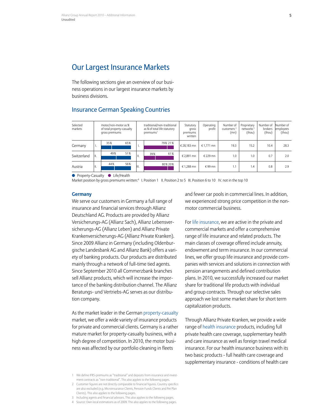## <span id="page-6-0"></span>Our Largest Insurance Markets

The following sections give an overview of our business operations in our largest insurance markets by business divisions.

## Insurance German Speaking Countries

| Selected<br>markets | traditional/non-traditional<br>motor/non-motor as %<br>as % of total life statutory<br>of total property-casualty<br>premiums <sup>1</sup><br>gross premiums |     |     | Statutory<br>gross<br>premiums<br>written | Operating<br>profit | Number of<br>customers $2$<br>(mn) | Proprietary<br>networks <sup>3</sup><br>(thou) | Number of<br>brokers<br>(thou) | Number of<br>employees<br>(thou) |      |      |      |
|---------------------|--------------------------------------------------------------------------------------------------------------------------------------------------------------|-----|-----|-------------------------------------------|---------------------|------------------------------------|------------------------------------------------|--------------------------------|----------------------------------|------|------|------|
| Germany             | ٠.                                                                                                                                                           | 35% | 65% | ш.                                        |                     | 79% 21%                            | € 28.183 mn                                    | € 1.771 mn                     | 19.3                             | 15.2 | 10.4 | 28.3 |
| Switzerland         | H.                                                                                                                                                           | 49% | 51% | $\mathsf{II}$ .                           | 39%                 | 61%                                | € 2.891 mn                                     | € 229 mn                       | 1.0                              | 1.0  | 0.7  | 2.0  |
| Austria             | ΙΙ.                                                                                                                                                          | 44% | 56% | lIII.                                     |                     | 80%20%                             | € 1.288 mn                                     | €99 mn                         | 1.1                              | 1.4  | 0.8  | 2.9  |

● Property-Casualty ● Life/Health

Market position by gross premiums written:<sup>4</sup> I. Position 1 II. Position 2 to 5 III. Position 6 to 10 IV. not in the top 10

#### **Germany**

We serve our customers in Germany a full range of insurance and financial services through Allianz Deutschland AG. Products are provided by Allianz Versicherungs-AG (Allianz Sach), Allianz Lebensversicherungs-AG (Allianz Leben) and Allianz Private Krankenversicherungs-AG (Allianz Private Kranken). Since 2009 Allianz in Germany (including Oldenburgische Landesbank AG and Allianz Bank) offers a variety of banking products. Our products are distributed mainly through a network of full-time tied agents. Since September 2010 all Commerzbank branches sell Allianz products, which will increase the importance of the banking distribution channel. The Allianz Beratungs- und Vertriebs-AG serves as our distribution company.

As the market leader in the German property-casualty market, we offer a wide variety of insurance products for private and commercial clients. Germany is a rather mature market for property-casualty business, with a high degree of competition. In 2010, the motor business was affected by our portfolio cleaning in fleets

1 We define IFRS-premiums as "traditional" and deposits from insurance and investment contracts as "non-traditional". This also applies to the following pages.

and fewer car pools in commercial lines. In addition, we experienced strong price competition in the nonmotor commercial business.

For life insurance, we are active in the private and commercial markets and offer a comprehensive range of life insurance and related products. The main classes of coverage offered include annuity, endowment and term insurance. In our commercial lines, we offer group life insurance and provide companies with services and solutions in connection with pension arrangements and defined contribution plans. In 2010, we successfully increased our market share for traditional life products with individual and group contracts. Through our selective sales approach we lost some market share for short term capitalization products.

Through Allianz Private Kranken, we provide a wide range of health insurance products, including full private health care coverage, supplementary health and care insurance as well as foreign travel medical insurance. For our health insurance business with its two basic products - full health care coverage and supplementary insurance - conditions of health care

<sup>2</sup> Customer figures are not directly comparable to financial figures. Country specifics are also excluded (e.g. Microinsurance Clients, Pension Funds Clients and Pet Plan Clients). This also applies to the following pages.

<sup>3</sup> Including agents and financial advisors. This also applies to the following pages.

<sup>4</sup> Source: Own local estimations as of 2009. This also applies to the following pages.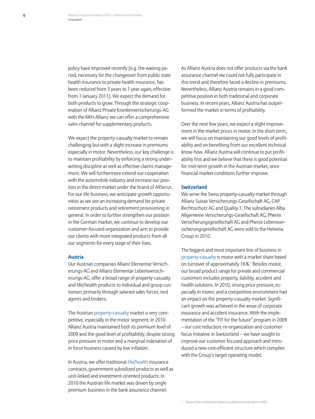policy have improved recently (e.g. the waiting period, necessary for the changeover from public state health insurance to private health insurance, has been reduced from 3 years to 1 year again, effective from 1 January 2011). We expect the demand for both products to grow. Through the strategic cooperation of Allianz Private Krankenversicherungs-AG with the KKH-Allianz we can offer a comprehensive sales channel for supplementary products.

We expect the property-casualty market to remain challenging but with a slight increase in premiums especially in motor. Nevertheless, our key challenge is to maintain profitability by enforcing a strong underwriting discipline as well as effective claims management. We will furthermore extend our cooperation with the automobile industry and increase our position in the direct market under the brand of AllSecur. For our life business, we anticipate growth opportunities as we see an increasing demand for private retirement products and retirement provisioning in general. In order to further strengthen our position in the German market, we continue to develop our customer-focused organization and aim to provide our clients with more integrated products from all our segments for every stage of their lives.

#### **Austria**

Our Austrian companies Allianz Elementar Versicherungs-AG and Allianz Elementar Lebensversicherungs-AG, offer a broad range of property-casualty and life/health products to individual and group customers primarily through salaried sales forces, tied agents and brokers.

The Austrian property-casualty market is very competitive, especially in the motor segment. In 2010 Allianz Austria maintained both its premium level of 2009 and the good level of profitability, despite strong price pressure in motor and a marginal indexation of in force business caused by low inflation.

In Austria, we offer traditional life/health insurance contracts, government subsidized products as well as unit-linked and investment-oriented products. In 2010 the Austrian life market was driven by single premium business in the bank assurance channel.

As Allianz Austria does not offer products via the bank assurance channel we could not fully participate in this trend and therefore faced a decline in premiums. Nevertheless, Allianz Austria remains in a good competitive position in both traditional and corporate business. In recent years, Allianz Austria has outperformed the market in terms of profitability.

Over the next few years, we expect a slight improvement in the market prices in motor. In the short term, we will focus on maintaining our good levels of profitability and on benefiting from our excellent technical know-how. Allianz Austria will continue to put profitability first and we believe that there is good potential for mid-term growth in the Austrian market, once financial market conditions further improve.

#### **Switzerland**

We serve the Swiss property-casualty market through Allianz Suisse Versicherungs-Gesellschaft AG, CAP Rechtsschutz AG and Quality 1. The subsidiaries Alba Allgemeine Versicherungs-Gesellschaft AG, Phenix Versicherungsgesellschaft AG and Phenix Lebensversicherungsgesellschaft AG were sold to the Helvetia Group in 2010.

The biggest and most important line of business in property-casualty is motor with a market share based on turnover of approximately 16%.<sup>1</sup> Besides motor, our broad product range for private and commercial customers includes property, liability, accident and health solutions. In 2010, strong price pressure, especially in motor, and a competitive environment had an impact on the property-casualty market. Significant growth was achieved in the areas of corporate insurance and accident insurance. With the implementation of the "FIT for the future" program in 2009 – our cost reduction, re-organization and customer focus initiative in Switzerland – we have sought to improve our customer focused approach and introduced a new cost-efficient structure which complies with the Group's target operating model.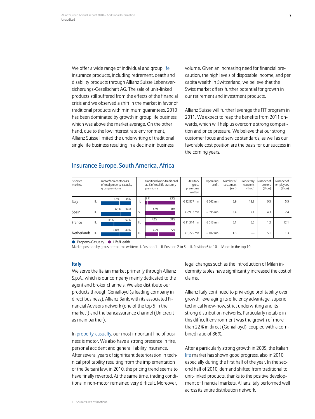We offer a wide range of individual and group life insurance products, including retirement, death and disability products through Allianz Suisse Lebensversicherungs-Gesellschaft AG. The sale of unit-linked products still suffered from the effects of the financial crisis and we observed a shift in the market in favor of traditional products with minimum guarantees. 2010 has been dominated by growth in group life business, which was above the market average. On the other hand, due to the low interest rate environment, Allianz Suisse limited the underwriting of traditional single life business resulting in a decline in business

volume. Given an increasing need for financial precaution, the high levels of disposable income, and per capita wealth in Switzerland, we believe that the Swiss market offers further potential for growth in our retirement and investment products.

Allianz Suisse will further leverage the FIT program in 2011. We expect to reap the benefits from 2011 onwards, which will help us overcome strong competition and price pressure. We believe that our strong customer focus and service standards, as well as our favorable cost position are the basis for our success in the coming years.

### Insurance Europe, South America, Africa

| Selected<br>markets | motor/non-motor as %<br>of total property-casualty<br>gross premiums |     |     | traditional/non-traditional<br>as % of total life statutory<br>premiums |     |     | Statutory<br>gross<br>premiums<br>written | Operating<br>profit | Number of<br>customers<br>(mn) | Proprietary<br>networks<br>(thou) | lNumber of<br>brokers<br>(thou) | Number of<br>employees<br>(thou) |
|---------------------|----------------------------------------------------------------------|-----|-----|-------------------------------------------------------------------------|-----|-----|-------------------------------------------|---------------------|--------------------------------|-----------------------------------|---------------------------------|----------------------------------|
| Italy               | н.                                                                   | 62% | 38% | ΙΙ.                                                                     | 7%  | 93% | € 12.827 mn                               | € 662 mn            | 5.9                            | 18.8                              | 0.5                             | 5.5                              |
| Spain               | н.                                                                   | 66% | 34% | IV.                                                                     | 42% | 58% | € 2.937 mn                                | €395 mn             | 3.4                            | 7.1                               | 4.3                             | 2.4                              |
| France              | Ш.                                                                   | 43% | 57% | III.                                                                    | 42% | 58% | € 11,314 mn                               | € 613 mn            | 5.1                            | 5.6                               | 1.2                             | 12.1                             |
| <b>Netherlands</b>  | H.                                                                   | 60% | 40% | III.                                                                    | 45% | 55% | € 1.225 mn                                | € 102 mn            | 1.5                            |                                   | 5.1                             | 1.3                              |

● Property-Casualty ● Life/Health

Market position by gross premiums written: I. Position 1 II. Position 2 to 5 III. Position 6 to 10 IV. not in the top 10

#### **Italy**

We serve the Italian market primarily through Allianz S.p.A., which is our company mainly dedicated to the agent and broker channels. We also distribute our products through Genialloyd (a leading company in direct business), Allianz Bank, with its associated Financial Advisors network (one of the top 5 in the market<sup>1</sup>) and the bancassurance channel (Unicredit as main partner).

In property-casualty, our most important line of business is motor. We also have a strong presence in fire, personal accident and general liability insurance. After several years of significant deterioration in technical profitability resulting from the implementation of the Bersani law, in 2010, the pricing trend seems to have finally reverted. At the same time, trading conditions in non-motor remained very difficult. Moreover,

legal changes such as the introduction of Milan indemnity tables have significantly increased the cost of claims.

Allianz Italy continued to priviledge profitability over growth, leveraging its efficiency advantage, superior technical know-how, strict underwriting and its strong distribution networks. Particularly notable in this difficult environment was the growth of more than 22% in direct (Genialloyd), coupled with a combined ratio of 86%.

After a particularly strong growth in 2009, the Italian life market has shown good progress, also in 2010, especially during the first half of the year. In the second half of 2010, demand shifted from traditional to unit-linked products, thanks to the positive development of financial markets. Allianz Italy performed well across its entire distribution network.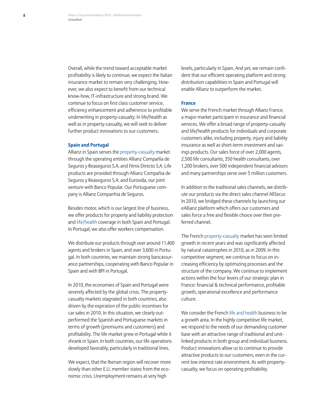Overall, while the trend toward acceptable market profitability is likely to continue, we expect the Italian insurance market to remain very challenging. However, we also expect to benefit from our technical know-how, IT-infrastructure and strong brand. We continue to focus on first class customer service, efficiency enhancement and adherence to profitable underwriting in property-casualty. In life/health as well as in property-casualty, we will seek to deliver further product innovations to our customers.

#### **Spain and Portugal**

Allianz in Spain serves the property-casualty market through the operating entities Allianz Compañía de Seguros y Reaseguros S.A. and Fénix Directo S.A. Life products are provided through Allianz Compañia de Seguros y Reaseguros S.A. and Eurovida, our joint venture with Banco Popular. Our Portuguese company is Allianz Companhia de Seguros.

Besides motor, which is our largest line of business, we offer products for property and liability protection and life/health coverage in both Spain and Portugal. In Portugal, we also offer workers compensation.

We distribute our products through over around 11,400 agents and brokers in Spain, and over 3,600 in Portugal. In both countries, we maintain strong bancassurance partnerships, cooperating with Banco Popular in Spain and with BPI in Portugal.

In 2010, the economies of Spain and Portugal were severely affected by the global crisis. The propertycasualty markets stagnated in both countries, also driven by the expiration of the public incentives for car sales in 2010. In this situation, we clearly outperformed the Spanish and Portuguese markets in terms of growth (premiums and customers) and profitability. The life market grew in Portugal while it shrank in Spain. In both countries, our life operations developed favorably, particularly in traditional lines.

We expect, that the Iberian region will recover more slowly than other E.U. member states from the economic crisis. Unemployment remains at very high

levels, particularly in Spain. And yet, we remain confident that our efficient operating platform and strong distribution capabilities in Spain and Portugal will enable Allianz to outperform the market.

#### **France**

We serve the French market through Allianz France, a major market participant in insurance and financial services. We offer a broad range of property-casualty and life/health products for individuals and corporate customers alike, including property, injury and liability insurance as well as short-term investment and savings products. Our sales force of over 2,000 agents, 2,500 life consultants, 350 health consultants, over 1,200 brokers, over 500 independent financial advisors and many partnerships serve over 5 million customers.

In addition to the traditional sales channels, we distribute our products via the direct sales channel AllSecur. In 2010, we bridged these channels by launching our eAllianz platform which offers our customers and sales force a free and flexible choice over their preferred channel.

The French property-casualty market has seen limited growth in recent years and was significantly affected by natural catastrophes in 2010, as in 2009. In this competitive segment, we continue to focus on increasing efficiency by optimizing processes and the structure of the company. We continue to implement actions within the four levers of our strategic plan in France: financial & technical performance, profitable growth, operational excellence and performance culture.

We consider the French life and health business to be a growth area. In the highly competitive life market, we respond to the needs of our demanding customer base with an attractive range of traditional and unitlinked products in both group and individual business. Product innovations allow us to continue to provide attractive products to our customers, even in the current low interest rate environment. As with propertycasualty, we focus on operating profitability.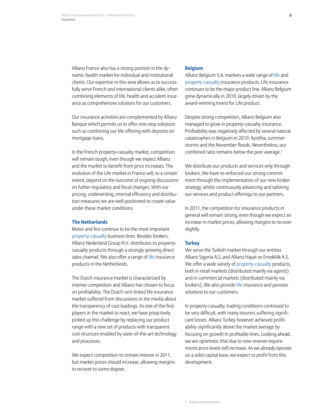Allianz France also has a strong position in the dynamic health market for individual and institutional clients. Our expertise in this area allows us to successfully serve French and international clients alike, often combining elements of life, health and accident insurance as comprehensive solutions for our customers.

Our insurance activities are complemented by Allianz Banque which permits us to offer one-stop solutions such as combining our life offering with deposits on mortgage loans.

In the French property-casualty market, competition will remain tough, even though we expect Allianz and the market to benefit from price increases. The evolution of the Life market in France will, to a certain extent, depend on the outcome of ongoing discussions on futher regulatory and fiscal changes. With our pricing, underwriting, internal efficiency and distribution measures we are well positioned to create value under these market conditions.

#### **The Netherlands**

Motor and fire continue to be the most important property-casualty business lines. Besides brokers, Allianz Nederland Group N.V. distributes its propertycasualty products through a strongly growing direct sales channel. We also offer a range of life insurance products in the Netherlands.

The Dutch insurance market is characterized by intense competition and Allianz has chosen to focus on profitability. The Dutch unit-linked life insurance market suffered from discussions in the media about the transparency of cost loadings. As one of the first players in the market to react, we have proactively picked up this challenge by replacing our product range with a new set of products with transparent cost structure enabled by state-of-the-art technology and processes.

We expect competition to remain intense in 2011, but market prices should increase, allowing margins to recover to some degree.

#### **Belgium**

Allianz Belgium S.A. markets a wide range of life and property-casualty insurance products. Life insurance continues to be the major product line. Allianz Belgium grew dynamically in 2010, largely driven by the award-winning Invest for Life product.

Despite strong competition, Allianz Belgium also managed to grow in property-casualty insurance. Profitability was negatively affected by several natural catastrophes in Belgium in 2010: Xynthia, summer storms and the November floods. Nevertheless, our combined ratio remains below the peer average.1

We distribute our products and services only through brokers. We have re-enforced our strong commitment through the implementation of our new broker strategy, whilst continuously advancing and tailoring our services and product offerings to our partners.

In 2011, the competition for insurance products in general will remain strong, even though we expect an increase in market prices, allowing margins to recover slightly.

#### **Turkey**

We serve the Turkish market through our entities Allianz Sigorta A.S. and Allianz Hayat ve Emeklilik A.S. We offer a wide variety of property-casualty products, both in retail markets (distributed mainly via agents) and in commercial markets (distributed mainly via brokers). We also provide life insurance and pension solutions to our customers.

In property-casualty, trading conditions continued to be very difficult, with many insurers suffering significant losses. Allianz Turkey however achieved profitability significantly above the market average by focusing on growth in profitable lines. Looking ahead, we are optimistic that due to new reserve requirements price levels will increase. As we already operate on a solid capital base, we expect to profit from this development.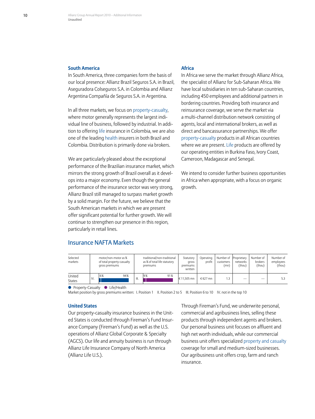#### **South America**

In South America, three companies form the basis of our local presence: Allianz Brazil Seguros S.A. in Brazil, Aseguradora Colseguros S.A. in Colombia and Allianz Argentina Compañía de Seguros S.A. in Argentina.

In all three markets, we focus on property-casualty, where motor generally represents the largest individual line of business, followed by industrial. In addition to offering life insurance in Colombia, we are also one of the leading health insurers in both Brazil and Colombia. Distribution is primarily done via brokers.

We are particularly pleased about the exceptional performance of the Brazilian insurance market, which mirrors the strong growth of Brazil overall as it develops into a major economy. Even though the general performance of the insurance sector was very strong, Allianz Brazil still managed to surpass market growth by a solid margin. For the future, we believe that the South American markets in which we are present offer significant potential for further growth. We will continue to strengthen our presence in this region, particularly in retail lines.

#### **Africa**

In Africa we serve the market through Allianz Africa, the specialist of Allianz for Sub-Saharan Africa. We have local subsidiaries in ten sub-Saharan countries, including 450 employees and additional partners in bordering countries. Providing both insurance and reinsurance coverage, we serve the market via a multi-channel distribution network consisting of agents, local and international brokers, as well as direct and bancassurance partnerships. We offer property-casualty products in all African countries where we are present. Life products are offered by our operating entities in Burkina Faso, Ivory Coast, Cameroon, Madagascar and Senegal.

We intend to consider further business opportunities in Africa when appropriate, with a focus on organic growth.

### Insurance NAFTA Markets

| Selected<br>markets     |     | motor/non-motor as %<br>of total property-casualty<br>gross premiums |     |      | traditional/non-traditional<br>as % of total life statutory<br>premiums | Statutory<br>gross<br>premiums<br>written | Operating<br>profit | Number of Proprietary<br>customers<br>(mn) | networks<br>(thou) | Number of<br>brokers<br>(thou) | Number of<br>employees<br>(thou) |
|-------------------------|-----|----------------------------------------------------------------------|-----|------|-------------------------------------------------------------------------|-------------------------------------------|---------------------|--------------------------------------------|--------------------|--------------------------------|----------------------------------|
| United<br><b>States</b> | IV. | 6%                                                                   | 94% | III. | 91%<br>19%                                                              | $\in$ 11.505 mn                           | $£627$ mn           |                                            | __                 |                                | 5.3                              |

**•** Property-Casualty • Life/Health

Market position by gross premiums written: I. Position 1 II. Position 2 to 5 III. Position 6 to 10 IV. not in the top 10

#### **United States**

Our property-casualty insurance business in the United States is conducted through Fireman's Fund Insurance Company (Fireman's Fund) as well as the U.S. operations of Allianz Global Corporate & Specialty (AGCS). Our life and annuity business is run through Allianz Life Insurance Company of North America (Allianz Life U.S.).

Through Fireman's Fund, we underwrite personal, commercial and agribusiness lines, selling these products through independent agents and brokers. Our personal business unit focuses on affluent and high net worth individuals, while our commercial business unit offers specialized property and casualty coverage for small and medium-sized businesses. Our agribusiness unit offers crop, farm and ranch insurance.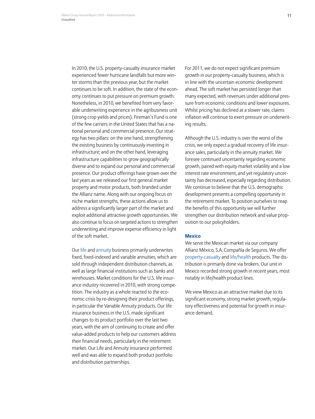In 2010, the U.S. property-casualty insurance market experienced fewer hurricane landfalls but more winter storms than the previous year, but the market continues to be soft. In addition, the state of the economy continues to put pressure on premium growth. Nonetheless, in 2010, we benefited from very favorable underwriting experience in the agribusiness unit (strong crop yields and prices). Fireman's Fund is one of the few carriers in the United States that has a national personal and commercial presence. Our strategy has two pillars: on the one hand, strengthening the existing business by continuously investing in infrastructure; and on the other hand, leveraging infrastructure capabilities to grow geographically diverse and to expand our personal and commercial presence. Our product offerings have grown over the last years as we released our first general market property and motor products, both branded under the Allianz name. Along with our ongoing focus on niche market strengths, these actions allow us to address a significantly larger part of the market and exploit additional attractive growth opportunities. We also continue to focus on targeted actions to strengthen underwriting and improve expense efficiency in light of the soft market.

Our life and annuity business primarily underwrites fixed, fixed-indexed and variable annuities, which are sold through independent distribution channels, as well as large financial institutions such as banks and wirehouses. Market conditions for the U.S. life insurance industry recovered in 2010, with strong competition. The industry as a whole reacted to the economic crisis by re-designing their product offerings, in particular the Variable Annuity products. Our life insurance business in the U.S. made significant changes to its product portfolio over the last two years, with the aim of continuing to create and offer value-added products to help our customers address their financial needs, particularly in the retirement market. Our Life and Annuity insurance performed well and was able to expand both product portfolio and distribution partnerships.

For 2011, we do not expect significant premium growth in our property-casualty business, which is in line with the uncertain economic development ahead. The soft market has persisted longer than many expected, with revenues under additional pressure from economic conditions and lower exposures. Whilst pricing has declined at a slower rate, claims inflation will continue to exert pressure on underwriting results.

Although the U.S. industry is over the worst of the crisis, we only expect a gradual recovery of life insurance sales, particularly in the annuity market. We foresee continued uncertainty regarding economic growth, paired with equity market volatility and a low interest rate environment, and yet regulatory uncertainty has decreased, especially regarding distribution. We continue to believe that the U.S. demographic development presents a compelling opportunity in the retirement market. To position ourselves to reap the benefits of this opportunity we will further strengthen our distribution network and value proposition to our policyholders.

#### **Mexico**

We serve the Mexican market via our company Allianz México, S.A. Compañía de Seguros. We offer property-casualty and life/health products. The distribution is primarily done via brokers. Our unit in Mexico recorded strong growth in recent years, most notably in life/health product lines.

We view Mexico as an attractive market due to its significant economy, strong market growth, regulatory effectiveness and potential for growth in insurance demand.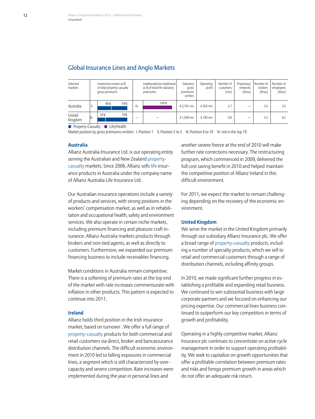## Global Insurance Lines and Anglo Markets

| Selected<br>markets | motor/non-motor as %<br>of total property-casualty<br>gross premiums |     |     | traditional/non-traditional<br>as % of total life statutory<br>premiums |      | Statutory<br>gross<br>premiums<br>written | Operating<br>profit | Number of<br>customers<br>(mn) | Proprietary<br>networks<br>(thou) | Number of<br>brokers<br>(thou) | Number of<br>employees<br>(thou) |
|---------------------|----------------------------------------------------------------------|-----|-----|-------------------------------------------------------------------------|------|-------------------------------------------|---------------------|--------------------------------|-----------------------------------|--------------------------------|----------------------------------|
| Australia           | ١I.                                                                  | 46% | 54% | IV.                                                                     | 100% | € 2.161 mn                                | € 302 mn            | 2.7                            |                                   | 2.0                            | 3.5                              |
| United<br>Kingdom   | III.                                                                 | 26% | 74% |                                                                         |      | € 1.939 mn                                | € 185 mn            | 0.9                            |                                   | 5.2                            | 4.2                              |

● Property-Casualty ● Life/Health

Market position by gross premiums written: I. Position 1 II. Position 2 to 5 III. Position 6 to 10 IV. not in the top 10

#### **Australia**

Allianz Australia Insurance Ltd. is our operating entity serving the Australian and New Zealand propertycasualty markets. Since 2006, Allianz sells life insurance products in Australia under the company name of Allianz Australia Life Insurance Ltd.

Our Australian insurance operations include a variety of products and services, with strong positions in the workers' compensation market, as well as in rehabilitation and occupational health, safety and environment services. We also operate in certain niche markets, including premium financing and pleasure craft insurance. Allianz Australia markets products through brokers and non-tied agents, as well as directly to customers. Furthermore, we expanded our premium financing business to include receivables financing.

Market conditions in Australia remain competitive. There is a softening of premium rates at the top end of the market with rate increases commensurate with inflation in other products. This pattern is expected to continue into 2011.

#### **Ireland**

Allianz holds third position in the Irish insurance market, based on turnover . We offer a full range of property-casualty products for both commercial and retail customers via direct, broker and bancassurance distribution channels. The difficult economic environment in 2010 led to falling exposures in commercial lines, a segment which is still characterized by overcapacity and severe competition. Rate increases were implemented during the year in personal lines and

another severe freeze at the end of 2010 will make further rate corrections necessary. The restructuring program, which commenced in 2009, delivered the full cost saving benefit in 2010 and helped maintain the competitive position of Allianz Ireland in this difficult environment.

For 2011, we expect the market to remain challenging depending on the recovery of the economic environment.

#### **United Kingdom**

We serve the market in the United Kingdom primarily through our subsidiary Allianz Insurance plc. We offer a broad range of property-casualty products, including a number of specialty products, which we sell to retail and commercial customers through a range of distribution channels, including affinity groups.

In 2010, we made significant further progress in establishing a profitable and expanding retail business. We continued to win substantial business with large corporate partners and we focused on enhancing our pricing expertise. Our commercial lines business continued to outperform our key competitors in terms of growth and profitability.

Operating in a highly competitive market, Allianz Insurance plc continues to concentrate on active cycle management in order to support operating profitability. We seek to capitalize on growth opportunities that offer a profitable correlation between premium rates and risks and forego premium growth in areas which do not offer an adequate risk return.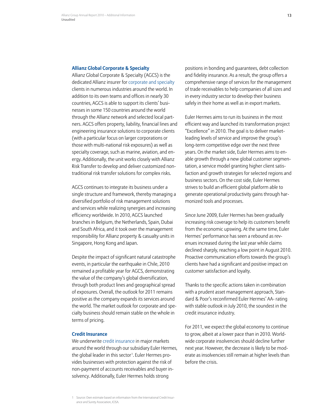#### **Allianz Global Corporate & Specialty**

Allianz Global Corporate & Specialty (AGCS) is the dedicated Allianz insurer for corporate and specialty clients in numerous industries around the world. In addition to its own teams and offices in nearly 30 countries, AGCS is able to support its clients' businesses in some 150 countries around the world through the Allianz network and selected local partners. AGCS offers property, liability, financial lines and engineering insurance solutions to corporate clients (with a particular focus on larger corporations or those with multi-national risk exposures) as well as specialty coverage, such as marine, aviation, and energy. Additionally, the unit works closely with Allianz Risk Transfer to develop and deliver customized nontraditional risk transfer solutions for complex risks.

AGCS continues to integrate its business under a single structure and framework, thereby managing a diversified portfolio of risk management solutions and services while realizing synergies and increasing efficiency worldwide. In 2010, AGCS launched branches in Belgium, the Netherlands, Spain, Dubai and South Africa, and it took over the management responsibility for Allianz property & casualty units in Singapore, Hong Kong and Japan.

Despite the impact of significant natural catastrophe events, in particular the earthquake in Chile, 2010 remained a profitable year for AGCS, demonstrating the value of the company's global diversification, through both product lines and geographical spread of exposures. Overall, the outlook for 2011 remains positive as the company expands its services around the world. The market outlook for corporate and specialty business should remain stable on the whole in terms of pricing.

#### **Credit Insurance**

We underwrite credit insurance in major markets around the world through our subsidiary Euler Hermes, the global leader in this sector1. Euler Hermes provides businesses with protection against the risk of non-payment of accounts receivables and buyer insolvency. Additionally, Euler Hermes holds strong

positions in bonding and guarantees, debt collection and fidelity insurance. As a result, the group offers a comprehensive range of services for the management of trade receivables to help companies of all sizes and in every industry sector to develop their business safely in their home as well as in export markets.

Euler Hermes aims to run its business in the most efficient way and launched its transformation project "Excellence" in 2010. The goal is to deliver marketleading levels of service and improve the group's long-term competitive edge over the next three years. On the market side, Euler Hermes aims to enable growth through a new global customer segmentation, a service model granting higher client satisfaction and growth strategies for selected regions and business sectors. On the cost side, Euler Hermes strives to build an efficient global platform able to generate operational productivity gains through harmonized tools and processes.

Since June 2009, Euler Hermes has been gradually increasing risk coverage to help its customers benefit from the economic upswing. At the same time, Euler Hermes' performance has seen a rebound as revenues increased during the last year while claims declined sharply, reaching a low point in August 2010. Proactive communication efforts towards the group's clients have had a significant and positive impact on customer satisfaction and loyalty.

Thanks to the specific actions taken in combination with a prudent asset management approach, Standard & Poor's reconfirmed Euler Hermes' AA- rating with stable outlook in July 2010, the soundest in the credit insurance industry.

For 2011, we expect the global economy to continue to grow, albeit at a lower pace than in 2010. Worldwide corporate insolvencies should decline further next year. However, the decrease is likely to be moderate as insolvencies still remain at higher levels than before the crisis.

<sup>1</sup> Source: Own estimate based on information from the International Credit Insurance and Surety Association, ICISA.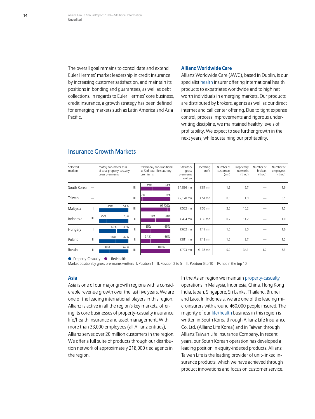The overall goal remains to consolidate and extend Euler Hermes' market leadership in credit insurance by increasing customer satisfaction, and maintain its positions in bonding and guarantees, as well as debt collections. In regards to Euler Hermes' core business, credit insurance, a growth strategy has been defined for emerging markets such as Latin America and Asia Pacific.

#### **Allianz Worldwide Care**

Allianz Worldwide Care (AWC), based in Dublin, is our specialist health insurer offering international health products to expatriates worldwide and to high net worth individuals in emerging markets. Our products are distributed by brokers, agents as well as our direct internet and call center offering. Due to tight expense control, process improvements and rigorous underwriting discipline, we maintained healthy levels of profitability. We expect to see further growth in the next years, while sustaining our profitability.

| Selected<br>markets | motor/non-motor as %<br>of total property-casualty<br>gross premiums |     |     | traditional/non-traditional<br>as % of total life statutory<br>premiums |     |       | Statutory<br>gross<br>premiums<br>written | Operating<br>profit | Number of<br>customers<br>(mn) | Proprietary<br>networks<br>(thou) | Number of<br>brokers<br>(thou) | Number of<br>employees<br>(thou) |
|---------------------|----------------------------------------------------------------------|-----|-----|-------------------------------------------------------------------------|-----|-------|-------------------------------------------|---------------------|--------------------------------|-----------------------------------|--------------------------------|----------------------------------|
| South Korea         | —                                                                    |     |     | III.                                                                    | 39% | 61%   | € 1,836 mn                                | € 87 $mn$           | 1.2                            | 5.7                               |                                | 1.6                              |
| Taiwan              | –                                                                    |     |     | III.                                                                    | 7%  | 93%   | € 2,170 mn                                | € 51 mn             | 0.3                            | 1.9                               | —                              | 0.5                              |
| Malaysia            | Ш.                                                                   | 49% | 51% | III.                                                                    |     | 91%9% | €552 mn                                   | € 55 mn             | 2.6                            | 10.2                              |                                | 1.5                              |
| Indonesia           | Ⅲ.                                                                   | 25% | 75% | ΙΙ.                                                                     | 50% | 50%   | €494 mn                                   | €39 mn              | 0.7                            | 14.2                              |                                | 1.0                              |
| Hungary             | Ι.                                                                   | 60% | 40% | ΙΙ.                                                                     | 35% | 65%   | €602 mn                                   | € 17 $mn$           | 1.5                            | 2.0                               |                                | 1.6                              |
| Poland              | $\parallel$ .                                                        | 58% | 42% | ΙΙ.                                                                     | 34% | 66%   | € 811 mn                                  | € 13 mn             | 1.6                            | 3.7                               |                                | 1.2                              |
| Russia              | $\parallel$ .                                                        | 38% | 62% | III.                                                                    |     | 100%  | €723 mn                                   | € - 38 mn           | 0.9                            | 34.1                              | 1.0                            | 8.3                              |

## Insurance Growth Markets

**•** Property-Casualty • Life/Health

Market position by gross premiums written: I. Position 1 II. Position 2 to 5 III. Position 6 to 10 IV. not in the top 10

#### **Asia**

Asia is one of our major growth regions with a considerable revenue growth over the last five years. We are one of the leading international players in this region. Allianz is active in all the region's key markets, offering its core businesses of property-casualty insurance, life/health insurance and asset management. With more than 33,000 employees (all Allianz entities), Allianz serves over 20 million customers in the region. We offer a full suite of products through our distribution network of approximately 218,000 tied agents in the region.

In the Asian region we maintain property-casualty operations in Malaysia, Indonesia, China, Hong Kong India, Japan, Singapore, Sri Lanka, Thailand, Brunei and Laos. In Indonesia, we are one of the leading microinsurers with around 460,000 people insured. The majority of our life/health business in this region is written in South Korea through Allianz Life Insurance Co. Ltd. (Allianz Life Korea) and in Taiwan through Allianz Taiwan Life Insurance Company. In recent years, our South Korean operation has developed a leading position in equity-indexed products. Allianz Taiwan Life is the leading provider of unit-linked insurance products, which we have achieved through product innovations and focus on customer service.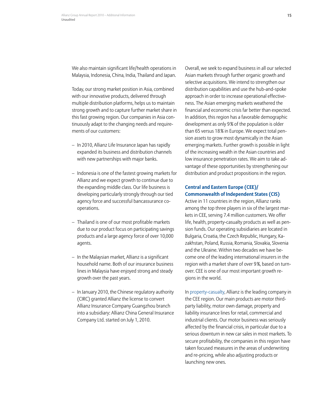We also maintain significant life/health operations in Malaysia, Indonesia, China, India, Thailand and Japan.

Today, our strong market position in Asia, combined with our innovative products, delivered through multiple distribution platforms, helps us to maintain strong growth and to capture further market share in this fast growing region. Our companies in Asia continuously adapt to the changing needs and requirements of our customers:

- In 2010, Allianz Life Insurance Japan has rapidly expanded its business and distribution channels with new partnerships with major banks.
- Indonesia is one of the fastest growing markets for Allianz and we expect growth to continue due to the expanding middle class. Our life business is developing particularly strongly through our tied agency force and successful bancassurance cooperations.
- Thailand is one of our most profitable markets due to our product focus on participating savings products and a large agency force of over 10,000 agents.
- In the Malaysian market, Allianz is a significant household name. Both of our insurance business lines in Malaysia have enjoyed strong and steady growth over the past years.
- In January 2010, the Chinese regulatory authority (CIRC) granted Allianz the license to convert Allianz Insurance Company Guangzhou branch into a subsidiary: Allianz China General Insurance Company Ltd. started on July 1, 2010.

Overall, we seek to expand business in all our selected Asian markets through further organic growth and selective acquisitions. We intend to strengthen our distribution capabilities and use the hub-and-spoke approach in order to increase operational effectiveness. The Asian emerging markets weathered the financial and economic crisis far better than expected. In addition, this region has a favorable demographic development as only 9% of the population is older than 65 versus 18% in Europe. We expect total pension assets to grow most dynamically in the Asian emerging markets. Further growth is possible in light of the increasing wealth in the Asian countries and low insurance penetration rates. We aim to take advantage of these opportunities by strengthening our distribution and product propositions in the region.

### **Central and Eastern Europe (CEE)/ Commonwealth of Independent States (CIS)**

Active in 11 countries in the region, Allianz ranks among the top three players in six of the largest markets in CEE, serving 7.4 million customers. We offer life, health, property-casualty products as well as pension funds. Our operating subsidiaries are located in Bulgaria, Croatia, the Czech Republic, Hungary, Kazakhstan, Poland, Russia, Romania, Slovakia, Slovenia and the Ukraine. Within two decades we have become one of the leading international insurers in the region with a market share of over 9%, based on turnover. CEE is one of our most important growth regions in the world.

In property-casualty, Allianz is the leading company in the CEE region. Our main products are motor thirdparty liability, motor own damage, property and liability insurance lines for retail, commercial and industrial clients. Our motor business was seriously affected by the financial crisis, in particular due to a serious downturn in new car sales in most markets. To secure profitability, the companies in this region have taken focused measures in the areas of underwriting and re-pricing, while also adjusting products or launching new ones.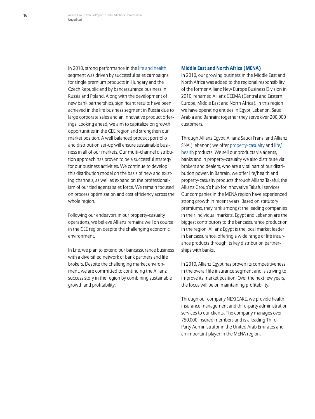In 2010, strong performance in the life and health segment was driven by successful sales campaigns for single premium products in Hungary and the Czech Republic and by bancassurance business in Russia and Poland. Along with the development of new bank partnerships, significant results have been achieved in the life business segment in Russia due to large corporate sales and an innovative product offerings. Looking ahead, we aim to capitalize on growth opportunities in the CEE region and strengthen our market position. A well balanced product portfolio and distribution set-up will ensure sustainable business in all of our markets. Our multi-channel distribution approach has proven to be a successful strategy for our business activities. We continue to develop this distribution model on the basis of new and existing channels, as well as expand on the professionalism of our tied agents sales force. We remain focused on process optimization and cost efficiency across the whole region.

Following our endeavors in our property-casualty operations, we believe Allianz remains well on course in the CEE region despite the challenging economic environment.

In Life, we plan to extend our bancassurance business with a diversified network of bank partners and life brokers. Despite the challenging market environment, we are committed to continuing the Allianz success story in the region by combining sustainable growth and profitability.

#### **Middle East and North Africa (MENA)**

In 2010, our growing business in the Middle East and North Africa was added to the regional responsibility of the former Allianz New Europe Business Division in 2010, renamed Allianz CEEMA (Central and Eastern Europe, Middle East and North Africa). In this region we have operating entities in Egypt, Lebanon, Saudi Arabia and Bahrain: together they serve over 200,000 customers.

Through Allianz Egypt, Allianz Saudi Fransi and Allianz SNA (Lebanon) we offer property-casualty and life/ health products. We sell our products via agents, banks and in property-casualty we also distribute via brokers and dealers, who are a vital part of our distribution power. In Bahrain, we offer life/health and property-casualty products through Allianz Takaful, the Allianz Group's hub for innovative Takaful services. Our companies in the MENA region have experienced strong growth in recent years. Based on statutory premiums, they rank amongst the leading companies in their individual markets. Egypt and Lebanon are the biggest contributors to the bancassurance production in the region. Allianz Egypt is the local market leader in bancassurance, offering a wide range of life insurance products through its key distribution partnerships with banks.

In 2010, Allianz Egypt has proven its competitiveness in the overall life insurance segment and is striving to improve its market position. Over the next few years, the focus will be on maintaining profitability.

Through our company NEXtCARE, we provide health insurance management and third-party administration services to our clients. The company manages over 750,000 insured members and is a leading Third-Party Administrator in the United Arab Emirates and an important player in the MENA region.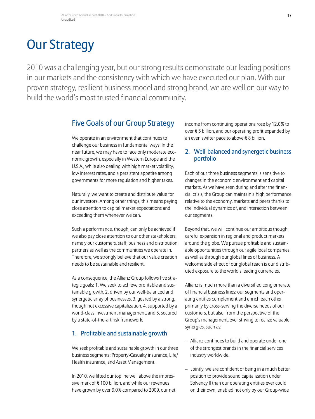## <span id="page-18-0"></span>Our Strategy

2010 was a challenging year, but our strong results demonstrate our leading positions in our markets and the consistency with which we have executed our plan. With our proven strategy, resilient business model and strong brand, we are well on our way to build the world's most trusted financial community.

## Five Goals of our Group Strategy

We operate in an environment that continues to challenge our business in fundamental ways. In the near future, we may have to face only moderate economic growth, especially in Western Europe and the U.S.A., while also dealing with high market volatility, low interest rates, and a persistent appetite among governments for more regulation and higher taxes.

Naturally, we want to create and distribute value for our investors. Among other things, this means paying close attention to capital market expectations and exceeding them whenever we can.

Such a performance, though, can only be achieved if we also pay close attention to our other stakeholders, namely our customers, staff, business and distribution partners as well as the communities we operate in. Therefore, we strongly believe that our value creation needs to be sustainable and resilient.

As a consequence, the Allianz Group follows five strategic goals: 1. We seek to achieve profitable and sustainable growth, 2. driven by our well-balanced and synergetic array of businesses, 3. geared by a strong, though not excessive capitalization, 4. supported by a world-class investment management, and 5. secured by a state-of-the-art risk framework.

## 1. Profitable and sustainable growth

We seek profitable and sustainable growth in our three business segments: Property-Casualty insurance, Life/ Health insurance, and Asset Management.

In 2010, we lifted our topline well above the impressive mark of € 100 billion, and while our revenues have grown by over 9.0% compared to 2009, our net income from continuing operations rose by 12.0% to over € 5 billion, and our operating profit expanded by an even swifter pace to above  $\epsilon$  8 billion.

## 2. Well-balanced and synergetic business portfolio

Each of our three business segments is sensitive to changes in the economic environment and capital markets. As we have seen during and after the financial crisis, the Group can maintain a high performance relative to the economy, markets and peers thanks to the individual dynamics of, and interaction between our segments.

Beyond that, we will continue our ambitious though careful expansion in regional and product markets around the globe. We pursue profitable and sustainable opportunities through our agile local companies, as well as through our global lines of business. A welcome side effect of our global reach is our distributed exposure to the world's leading currencies.

Allianz is much more than a diversified conglomerate of financial business lines: our segments and operating entities complement and enrich each other, primarily by cross-serving the diverse needs of our customers, but also, from the perspective of the Group's management, ever striving to realize valuable synergies, such as:

- Allianz continues to build and operate under one of the strongest brands in the financial services industry worldwide.
- Jointly, we are confident of being in a much better position to provide sound capitalization under Solvency II than our operating entities ever could on their own, enabled not only by our Group-wide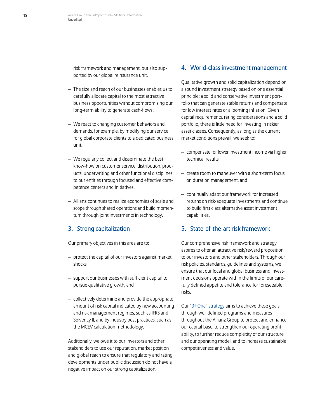risk framework and management, but also supported by our global reinsurance unit.

- The size and reach of our businesses enables us to carefully allocate capital to the most attractive business opportunities without compromising our long-term ability to generate cash-flows.
- We react to changing customer behaviors and demands, for example, by modifying our service for global corporate clients to a dedicated business unit.
- We regularly collect and disseminate the best know-how on customer service, distribution, products, underwriting and other functional disciplines to our entities through focused and effective competence centers and initiatives.
- Allianz continues to realize economies of scale and scope through shared operations and build momentum through joint investments in technology.

## 3. Strong capitalization

Our primary objectives in this area are to:

- protect the capital of our investors against market shocks,
- support our businesses with sufficient capital to pursue qualitative growth, and
- collectively determine and provide the appropriate amount of risk capital indicated by new accounting and risk management regimes, such as IFRS and Solvency II, and by industry best practices, such as the MCEV calculation methodology.

Additionally, we owe it to our investors and other stakeholders to use our reputation, market position and global reach to ensure that regulatory and rating developments under public discussion do not have a negative impact on our strong capitalization.

#### 4. World-class investment management

Qualitative growth and solid capitalization depend on a sound investment strategy based on one essential principle: a solid and conservative investment portfolio that can generate stable returns and compensate for low interest rates or a looming inflation. Given capital requirements, rating considerations and a solid portfolio, there is little need for investing in riskier asset classes. Consequently, as long as the current market conditions prevail, we seek to:

- compensate for lower investment income via higher technical results,
- create room to maneuver with a short-term focus on duration management, and
- continually adapt our framework for increased returns on risk-adequate investments and continue to build first class alternative asset investment capabilities.

### 5. State-of-the-art risk framework

Our comprehensive risk framework and strategy aspires to offer an attractive risk/reward proposition to our investors and other stakeholders. Through our risk policies, standards, guidelines and systems, we ensure that our local and global business and investment decisions operate within the limits of our carefully defined appetite and tolerance for foreseeable risks.

Our "3+One" strategy aims to achieve these goals through well defined programs and measures throughout the Allianz Group to protect and enhance our capital base, to strengthen our operating profitability, to further reduce complexity of our structure and our operating model, and to increase sustainable competitiveness and value.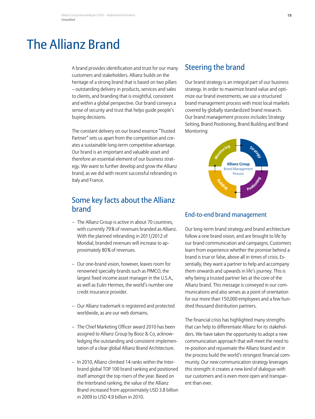## <span id="page-20-0"></span>The Allianz Brand

A brand provides identification and trust for our many customers and stakeholders. Allianz builds on the heritage of a strong brand that is based on two pillars – outstanding delivery in products, services and sales to clients, and branding that is insightful, consistent and within a global perspective. Our brand conveys a sense of security and trust that helps guide people's buying decisions.

The constant delivery on our brand essence "Trusted Partner" sets us apart from the competition and creates a sustainable long-term competitive advantage. Our brand is an important and valuable asset and therefore an essential element of our business strategy. We want to further develop and grow the Allianz brand, as we did with recent successful rebranding in Italy and France.

## Some key facts about the Allianz brand

- The Allianz Group is active in about 70 countries, with currently 79% of revenues branded as Allianz. With the planned rebranding in 2011/2012 of Mondial, branded revenues will increase to approximately 80% of revenues.
- Our one-brand vision, however, leaves room for renowned specialty brands such as PIMCO, the largest fixed income asset manager in the U.S.A., as well as Euler Hermes, the world's number one credit insurance provider.
- Our Allianz trademark is registered and protected worldwide, as are our web domains.
- The Chief Marketing Officer award 2010 has been assigned to Allianz Group by Booz & Co, acknowledging the outstanding and consistent implementation of a clear global Allianz Brand Architecture.
- In 2010, Allianz climbed 14 ranks within the Interbrand global TOP 100 brand ranking and positioned itself amongst the top risers of the year. Based on the Interbrand ranking, the value of the Allianz Brand increased from approximately USD 3.8 billion in 2009 to USD 4.9 billion in 2010.

## Steering the brand

Our brand strategy is an integral part of our business strategy. In order to maximize brand value and optimize our brand investments, we use a structured brand management process with most local markets covered by globally standardized brand research. Our brand management process includes Strategy Setting, Brand Positioning, Brand Building and Brand Monitoring:



## End-to-end brand management

Our long-term brand strategy and brand architecture follow a one brand vision, and are brought to life by our brand communication and campaigns. Customers learn from experience whether the promise behind a brand is true or false, above all in times of crisis. Essentially, they want a partner to help and accompany them onwards and upwards in life's journey. This is why being a trusted partner lies at the core of the Allianz brand. This message is conveyed in our communications and also serves as a point of orientation for our more than 150,000 employees and a few hundred thousand distribution partners.

The financial crisis has highlighted many strengths that can help to differentiate Allianz for its stakeholders. We have taken the opportunity to adopt a new communication approach that will meet the need to re-position and rejuvenate the Allianz brand and in the process build the world's strongest financial community. Our new communication strategy leverages this strength: it creates a new kind of dialogue with our customers and is even more open and transparent than ever.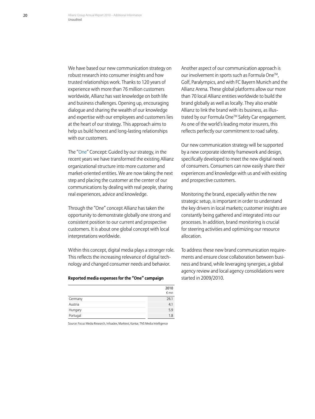We have based our new communication strategy on robust research into consumer insights and how trusted relationships work. Thanks to 120 years of experience with more than 76 million customers worldwide, Allianz has vast knowledge on both life and business challenges. Opening up, encouraging dialogue and sharing the wealth of our knowledge and expertise with our employees and customers lies at the heart of our strategy. This approach aims to help us build honest and long-lasting relationships with our customers.

The "One" Concept: Guided by our strategy, in the recent years we have transformed the existing Allianz organizational structure into more customer and market-oriented entities. We are now taking the next step and placing the customer at the center of our communications by dealing with real people, sharing real experiences, advice and knowledge.

Through the "One" concept Allianz has taken the opportunity to demonstrate globally one strong and consistent position to our current and prospective customers. It is about one global concept with local interpretations worldwide.

Within this concept, digital media plays a stronger role. This reflects the increasing relevance of digital technology and changed consumer needs and behavior.

#### **Reported media expenses for the "One" campaign**

|          | 2010<br>€ mn |
|----------|--------------|
| Germany  | 26.1         |
| Austria  | 4.1          |
| Hungary  | 5.9          |
| Portugal | 1.8          |

Source: Focus Media Research, Infoadex, Marktest, Kantar, TNS Media Intelligence

Another aspect of our communication approach is our involvement in sports such as Formula One<sup>™</sup>. Golf, Paralympics, and with FC Bayern Munich and the Allianz Arena. These global platforms allow our more than 70 local Allianz entities worldwide to build the brand globally as well as locally. They also enable Allianz to link the brand with its business, as illustrated by our Formula One™ Safety Car engagement. As one of the world's leading motor insurers, this reflects perfectly our commitment to road safety.

Our new communication strategy will be supported by a new corporate identity framework and design, specifically developed to meet the new digital needs of consumers. Consumers can now easily share their experiences and knowledge with us and with existing and prospective customers.

Monitoring the brand, especially within the new strategic setup, is important in order to understand the key drivers in local markets; customer insights are constantly being gathered and integrated into our processes. In addition, brand monitoring is crucial for steering activities and optimizing our resource allocation.

To address these new brand communication requirements and ensure close collaboration between business and brand, while leveraging synergies, a global agency review and local agency consolidations were started in 2009/2010.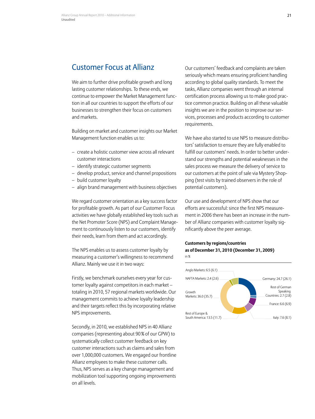## Customer Focus at Allianz

We aim to further drive profitable growth and long lasting customer relationships. To these ends, we continue to empower the Market Management function in all our countries to support the efforts of our businesses to strengthen their focus on customers and markets.

Building on market and customer insights our Market Management function enables us to:

- create a holistic customer view across all relevant customer interactions
- identify strategic customer segments
- develop product, service and channel propositions
- build customer loyalty
- align brand management with business objectives

We regard customer orientation as a key success factor for profitable growth. As part of our Customer Focus activities we have globally established key tools such as the Net Promoter Score (NPS) and Complaint Management to continuously listen to our customers, identify their needs, learn from them and act accordingly.

The NPS enables us to assess customer loyalty by measuring a customer's willingness to recommend Allianz. Mainly we use it in two ways:

Firstly, we benchmark ourselves every year for customer loyalty against competitors in each market – totaling in 2010, 57 regional markets worldwide. Our management commits to achieve loyalty leadership and their targets reflect this by incorporating relative NPS improvements.

Secondly, in 2010, we established NPS in 40 Allianz companies (representing about 90% of our GPW) to systematically collect customer feedback on key customer interactions such as claims and sales from over 1,000,000 customers. We engaged our frontline Allianz employees to make these customer calls. Thus, NPS serves as a key change management and mobilization tool supporting ongoing improvements on all levels.

Our customers' feedback and complaints are taken seriously which means ensuring proficient handling according to global quality standards. To meet the tasks, Allianz companies went through an internal certification process allowing us to make good practice common practice. Building on all these valuable insights we are in the position to improve our services, processes and products according to customer requirements.

We have also started to use NPS to measure distributors' satisfaction to ensure they are fully enabled to fulfill our customers' needs. In order to better understand our strengths and potential weaknesses in the sales process we measure the delivery of service to our customers at the point of sale via Mystery Shopping (test visits by trained observers in the role of potential customers).

Our use and development of NPS show that our efforts are successful: since the first NPS measurement in 2006 there has been an increase in the number of Allianz companies with customer loyalty significantly above the peer average.

#### **Customers by regions/countries as of December 31, 2010 (December 31, 2009)** in %

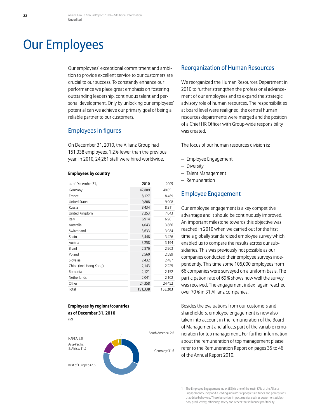## <span id="page-23-0"></span>Our Employees

Our employees' exceptional commitment and ambition to provide excellent service to our customers are crucial to our success. To constantly enhance our performance we place great emphasis on fostering outstanding leadership, continuous talent and personal development. Only by unlocking our employees' potential can we achieve our primary goal of being a reliable partner to our customers.

### Employees in figures

On December 31, 2010, the Allianz Group had 151,338 employees, 1.2% fewer than the previous year. In 2010, 24,261 staff were hired worldwide.

#### **Employees by country**

| as of December 31,      | 2010    | 2009    |
|-------------------------|---------|---------|
| Germany                 | 47,889  | 49,051  |
| France                  | 18,127  | 18,489  |
| <b>United States</b>    | 9,808   | 9,908   |
| Russia                  | 8,434   | 8,311   |
| United Kingdom          | 7,253   | 7,043   |
| Italy                   | 6,914   | 6,961   |
| Australia               | 4,043   | 3,866   |
| Switzerland             | 3,633   | 3,984   |
| Spain                   | 3,448   | 3,426   |
| Austria                 | 3,258   | 3,194   |
| Brazil                  | 2,876   | 2,963   |
| Poland                  | 2,560   | 2,589   |
| Slovakia                | 2,432   | 2,487   |
| China (incl. Hong Kong) | 2,143   | 2,225   |
| Romania                 | 2,121   | 2,152   |
| Netherlands             | 2,041   | 2,102   |
| Other                   | 24,358  | 24,452  |
| Total                   | 151,338 | 153,203 |

#### **Employees by regions/countries as of December 31, 2010**





#### Reorganization of Human Resources

We reorganized the Human Resources Department in 2010 to further strengthen the professional advancement of our employees and to expand the strategic advisory role of human resources. The responsibilities at board level were realigned, the central human resources departments were merged and the position of a Chief HR Officer with Group-wide responsibility was created.

The focus of our human resources division is:

- Employee Engagement
- Diversity
- Talent Management
- Remuneration

## Employee Engagement

Our employee engagement is a key competitive advantage and it should be continuously improved. An important milestone towards this objective was reached in 2010 when we carried out for the first time a globally standardized employee survey which enabled us to compare the results across our subsidiaries. This was previously not possible as our companies conducted their employee surveys independently. This time some 106,000 employees from 66 companies were surveyed on a uniform basis. The participation rate of 69% shows how well the survey was received. The engagement index<sup>1</sup> again reached over 70% in 31 Allianz companies.

Besides the evaluations from our customers and shareholders, employee engagement is now also taken into account in the remuneration of the Board of Management and affects part of the variable remuneration for top management. For further information about the remuneration of top management please refer to the Remuneration Report on pages 35 to 46 of the Annual Report 2010.

<sup>1</sup> The Employee Engagement Index (EEI) is one of the main KPIs of the Allianz Engagement Survey and a leading indicator of people's attitudes and perceptions that drive behaviors. These behaviors impact metrics such as customer satisfaction, productivity, efficiency, safety and others that influence profitability.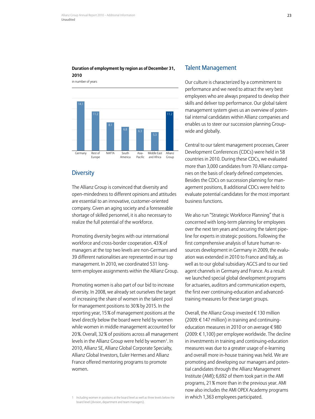#### **Duration of employment by region as of December 31, 2010**

in number of years



## **Diversity**

The Allianz Group is convinced that diversity and open-mindedness to different opinions and attitudes are essential to an innovative, customer-oriented company. Given an aging society and a foreseeable shortage of skilled personnel, it is also necessary to realize the full potential of the workforce.

Promoting diversity begins with our international workforce and cross-border cooperation. 43% of managers at the top two levels are non-Germans and 39 different nationalities are represented in our top management. In 2010, we coordinated 531 longterm employee assignments within the Allianz Group.

Promoting women is also part of our bid to increase diversity. In 2008, we already set ourselves the target of increasing the share of women in the talent pool for management positions to 30% by 2015. In the reporting year, 15% of management positions at the level directly below the board were held by women while women in middle management accounted for 20%. Overall, 32% of positions across all management levels in the Allianz Group were held by women<sup>1</sup>. In 2010, Allianz SE, Allianz Global Corporate Specialty, Allianz Global Investors, Euler Hermes and Allianz France offered mentoring programs to promote women.

#### Talent Management

Our culture is characterized by a commitment to performance and we need to attract the very best employees who are always prepared to develop their skills and deliver top performance. Our global talent management system gives us an overview of potential internal candidates within Allianz companies and enables us to steer our succession planning Groupwide and globally.

Central to our talent management processes, Career Development Conferences (CDCs) were held in 58 countries in 2010. During these CDCs, we evaluated more than 3,000 candidates from 70 Allianz companies on the basis of clearly defined competencies. Besides the CDCs on succession planning for management positions, 8 additional CDCs were held to evaluate potential candidates for the most important business functions.

We also run "Strategic Workforce Planning" that is concerned with long-term planning for employees over the next ten years and securing the talent pipeline for experts in strategic positions. Following the first comprehensive analysis of future human resources development in Germany in 2009, the evaluation was extended in 2010 to France and Italy, as well as to our global subsidiary AGCS and to our tied agent channels in Germany and France. As a result we launched special global development programs for actuaries, auditors and communication experts, the first ever continuing-education and advancedtraining measures for these target groups.

Overall, the Allianz Group invested € 130 million (2009: € 147 million) in training and continuingeducation measures in 2010 or on average € 980 (2009:  $\epsilon$  1,100) per employee worldwide. The decline in investments in training and continuing-education measures was due to a greater usage of e-learning and overall more in-house training was held. We are promoting and developing our managers and potential candidates through the Allianz Management Institute (AMI); 6,692 of them took part in the AMI programs, 21% more than in the previous year. AMI now also includes the AMI OPEX Academy programs in which 1,363 employees participated.

<sup>1</sup> Including women in positions at the board level as well as three levels below the board level (division, department and team managers).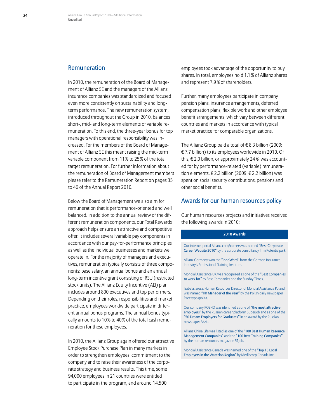#### Remuneration

In 2010, the remuneration of the Board of Management of Allianz SE and the managers of the Allianz insurance companies was standardized and focused even more consistently on sustainability and longterm performance. The new remuneration system, introduced throughout the Group in 2010, balances short-, mid- and long-term elements of variable remuneration. To this end, the three-year bonus for top managers with operational responsibility was increased. For the members of the Board of Management of Allianz SE this meant raising the mid-term variable component from 11% to 25% of the total target remuneration. For further information about the remuneration of Board of Management members please refer to the Remuneration Report on pages 35 to 46 of the Annual Report 2010.

Below the Board of Management we also aim for remuneration that is performance-oriented and well balanced. In addition to the annual review of the different remuneration components, our Total Rewards approach helps ensure an attractive and competitive offer. It includes several variable pay components in accordance with our pay-for-performance principles as well as the individual businesses and markets we operate in. For the majority of managers and executives, remuneration typically consists of three components: base salary, an annual bonus and an annual long-term incentive grant consisting of RSU (restricted stock units). The Allianz Equity Incentive (AEI) plan includes around 800 executives and top performers. Depending on their roles, responsibilities and market practice, employees worldwide participate in different annual bonus programs. The annual bonus typically amounts to 10% to 40% of the total cash remuneration for these employees.

In 2010, the Allianz Group again offered our attractive Employee Stock Purchase Plan in many markets in order to strengthen employees' commitment to the company and to raise their awareness of the corporate strategy and business results. This time, some 94,000 employees in 21 countries were entitled to participate in the program, and around 14,500

employees took advantage of the opportunity to buy shares. In total, employees hold 1.1% of Allianz shares and represent 7.9% of shareholders.

Further, many employees participate in company pension plans, insurance arrangements, deferred compensation plans, flexible work and other employee benefit arrangements, which vary between different countries and markets in accordance with typical market practice for comparable organizations.

The Allianz Group paid a total of € 8.3 billion (2009: € 7.7 billion) to its employees worldwide in 2010. Of this, € 2.0 billion, or approximately 24%, was accounted for by performance-related (variable) remuneration elements. € 2.2 billion (2009: € 2.2 billion) was spent on social security contributions, pensions and other social benefits.

#### Awards for our human resources policy

Our human resources projects and initiatives received the following awards in 2010:

#### **2010 Awards**

Our internet portal Allianz.com/careers was named "Best Corporate Career Website 2010" by the corporate consultancy firm Potentialpark.

Allianz Germany won the "InnoWard" from the German Insurance Industry's Professional Training Institute.

Mondial Assistance UK was recognized as one of the "Best Companies to work for" by Best Companies and the Sunday Times.

Izabela Jarosz, Human Resources Director of Mondial Assistance Poland, was named "HR Manager of the Year" by the Polish daily newspaper Rzeczypospolita.

Our company ROSNO was identified as one of "the most attractive employers" by the Russian career platform Superjob and as one of the "50 Dream Employers for Graduates" in an award by the Russian newspaper Akzia.

Allianz China Life was listed as one of the "100 Best Human Resource Management Companies" and the "100 Best Training Companies" by the human resources magazine 51job.

Mondial Assistance Canada was named one of the "Top 15 Local Employers in the Waterloo Region" by Mediacorp Canada Inc.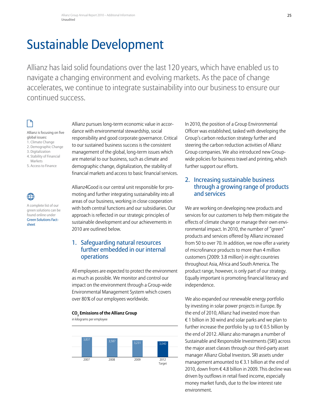## <span id="page-26-0"></span>Sustainable Development

Allianz has laid solid foundations over the last 120 years, which have enabled us to navigate a changing environment and evolving markets. As the pace of change accelerates, we continue to integrate sustainability into our business to ensure our continued success.

#### Allianz is focusing on five

- global issues: 1. Climate Change
- 2. Demographic Change
- 3. Digitalization
- 4. Stability of Financial
- Markets
- 5. Access to Finance

 $\bigoplus$ A complete list of our green solutions can be found online under

[Green Solutions Fact-](https://www.allianz.com/static-resources/en/responsibility/media/documents/v_1296554722000/green_solutions_factsheet.pdf)

sheet

Allianz pursues long-term economic value in accordance with environmental stewardship, social responsibility and good corporate governance. Critical to our sustained business success is the consistent management of the global, long-term issues which are material to our business, such as climate and demographic change, digitalization, the stability of financial markets and access to basic financial services.

Allianz4Good is our central unit responsible for promoting and further integrating sustainability into all areas of our business, working in close cooperation with both central functions and our subsidiaries. Our approach is reflected in our strategic principles of sustainable development and our achievements in 2010 are outlined below.

## 1. Safeguarding natural resources further embedded in our internal operations

All employees are expected to protect the environment as much as possible. We monitor and control our impact on the environment through a Group-wide Environmental Management System which covers over 80% of our employees worldwide.

#### **CO2 Emissions of the Allianz Group**

in kilograms per employee



In 2010, the position of a Group Environmental Officer was established, tasked with developing the Group's carbon reduction strategy further and steering the carbon reduction activities of Allianz Group companies. We also introduced new Groupwide policies for business travel and printing, which further support our efforts.

## 2. Increasing sustainable business through a growing range of products and services

We are working on developing new products and services for our customers to help them mitigate the effects of climate change or manage their own environmental impact. In 2010, the number of "green" products and services offered by Allianz increased from 50 to over 70. In addition, we now offer a variety of microfinance products to more than 4 million customers (2009: 3.8 million) in eight countries throughout Asia, Africa and South America. The product range, however, is only part of our strategy. Equally important is promoting financial literacy and independence.

We also expanded our renewable energy portfolio by investing in solar power projects in Europe. By the end of 2010, Allianz had invested more than € 1 billion in 30 wind and solar parks and we plan to further increase the portfolio by up to  $\epsilon$  0.5 billion by the end of 2012. Allianz also manages a number of Sustainable and Responsible Investments (SRI) across the major asset classes through our third-party asset manager Allianz Global Investors. SRI assets under management amounted to € 3.1 billion at the end of 2010, down from € 4.8 billion in 2009. This decline was driven by outflows in retail fixed income, especially money market funds, due to the low interest rate environment.